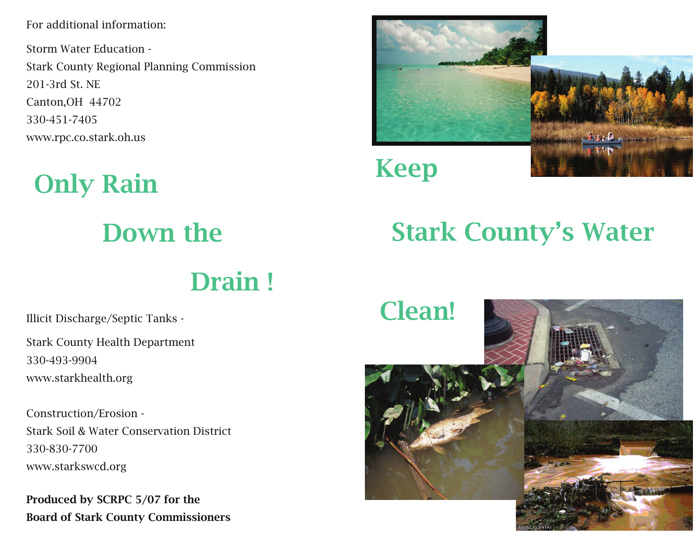For additional information:

Storm Water Education - Stark County Regional Planning Commission 201-3rd St. NE Canton,OH 44702 330-451-7405 www.rpc.co.stark.oh.us

## Only Rain Down the Drain !

Stark County Health Department 330-493-9904 www.starkhealth.org

Construction/Erosion - Stark Soil & Water Conservation District 330-830-7700 www.starkswcd.org

Produced by SCRPC 5/07 for the Board of Stark County Commissioners



## Keep

## Stark County's Water